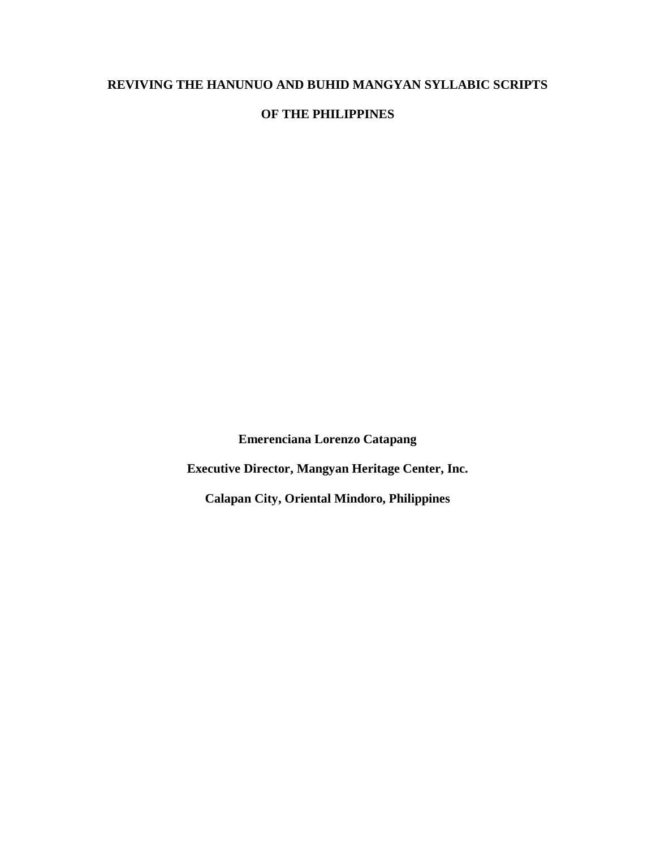# **REVIVING THE HANUNUO AND BUHID MANGYAN SYLLABIC SCRIPTS**

# **OF THE PHILIPPINES**

**Emerenciana Lorenzo Catapang**

**Executive Director, Mangyan Heritage Center, Inc.**

**Calapan City, Oriental Mindoro, Philippines**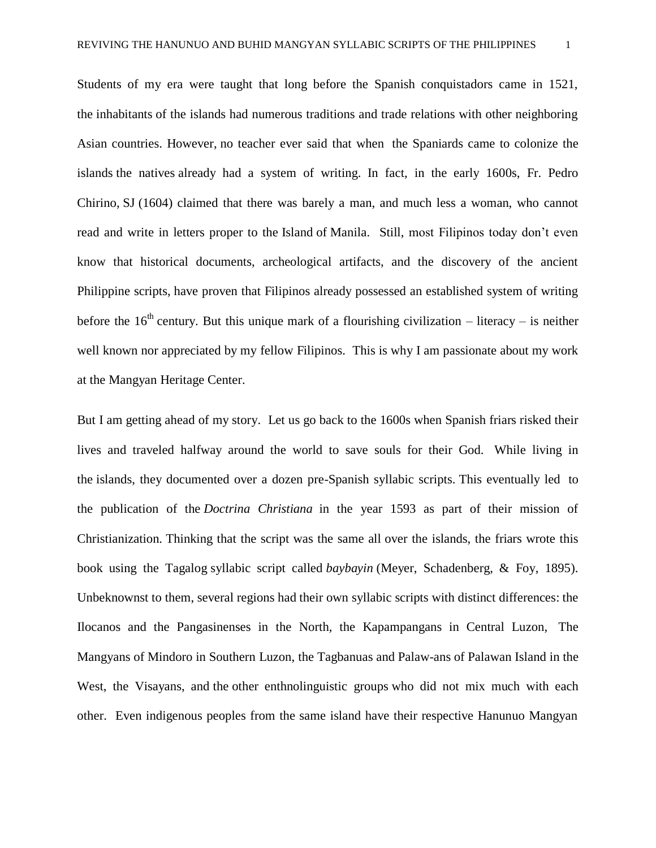Students of my era were taught that long before the Spanish conquistadors came in 1521, the inhabitants of the islands had numerous traditions and trade relations with other neighboring Asian countries. However, no teacher ever said that when the Spaniards came to colonize the islands the natives already had a system of writing. In fact, in the early 1600s, Fr. Pedro Chirino, SJ (1604) claimed that there was barely a man, and much less a woman, who cannot read and write in letters proper to the Island of Manila. Still, most Filipinos today don't even know that historical documents, archeological artifacts, and the discovery of the ancient Philippine scripts, have proven that Filipinos already possessed an established system of writing before the  $16<sup>th</sup>$  century. But this unique mark of a flourishing civilization – literacy – is neither well known nor appreciated by my fellow Filipinos. This is why I am passionate about my work at the Mangyan Heritage Center.

But I am getting ahead of my story. Let us go back to the 1600s when Spanish friars risked their lives and traveled halfway around the world to save souls for their God. While living in the islands, they documented over a dozen pre-Spanish syllabic scripts. This eventually led to the publication of the *Doctrina Christiana* in the year 1593 as part of their mission of Christianization*.* Thinking that the script was the same all over the islands, the friars wrote this book using the Tagalog syllabic script called *baybayin* (Meyer, Schadenberg, & Foy, 1895). Unbeknownst to them, several regions had their own syllabic scripts with distinct differences: the Ilocanos and the Pangasinenses in the North, the Kapampangans in Central Luzon, The Mangyans of Mindoro in Southern Luzon, the Tagbanuas and Palaw-ans of Palawan Island in the West, the Visayans, and the other enthnolinguistic groups who did not mix much with each other. Even indigenous peoples from the same island have their respective Hanunuo Mangyan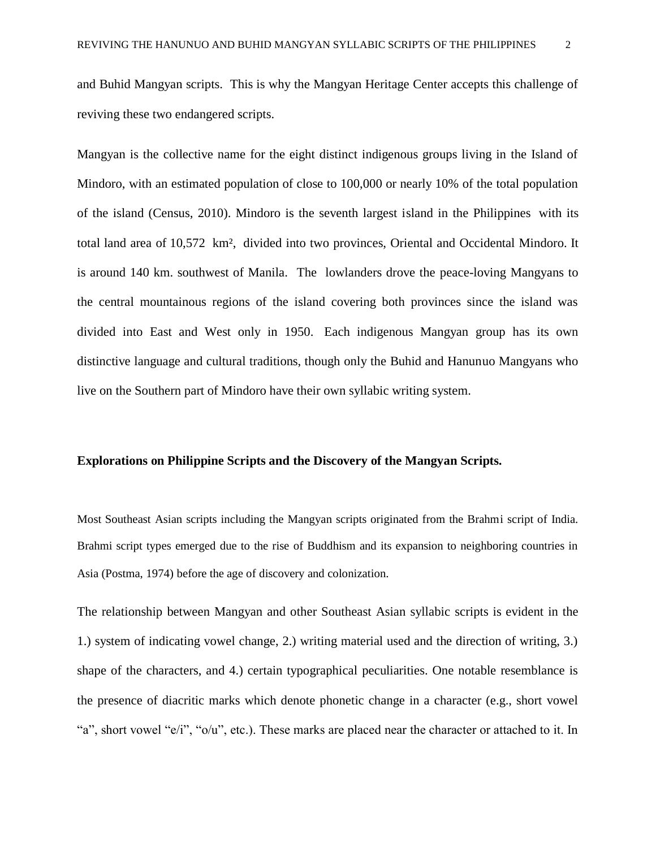and Buhid Mangyan scripts. This is why the Mangyan Heritage Center accepts this challenge of reviving these two endangered scripts.

Mangyan is the collective name for the eight distinct indigenous groups living in the Island of Mindoro, with an estimated population of close to 100,000 or nearly 10% of the total population of the island (Census, 2010). Mindoro is the seventh largest island in the Philippines with its total land area of 10,572 km², divided into two provinces, Oriental and Occidental Mindoro. It is around 140 km. southwest of Manila. The lowlanders drove the peace-loving Mangyans to the central mountainous regions of the island covering both provinces since the island was divided into East and West only in 1950. Each indigenous Mangyan group has its own distinctive language and cultural traditions, though only the Buhid and Hanunuo Mangyans who live on the Southern part of Mindoro have their own syllabic writing system.

#### **Explorations on Philippine Scripts and the Discovery of the Mangyan Scripts.**

Most Southeast Asian scripts including the Mangyan scripts originated from the Brahmi script of India. Brahmi script types emerged due to the rise of Buddhism and its expansion to neighboring countries in Asia (Postma, 1974) before the age of discovery and colonization.

The relationship between Mangyan and other Southeast Asian syllabic scripts is evident in the 1.) system of indicating vowel change, 2.) writing material used and the direction of writing, 3.) shape of the characters, and 4.) certain typographical peculiarities. One notable resemblance is the presence of diacritic marks which denote phonetic change in a character (e.g., short vowel "a", short vowel "e/i", "o/u", etc.). These marks are placed near the character or attached to it. In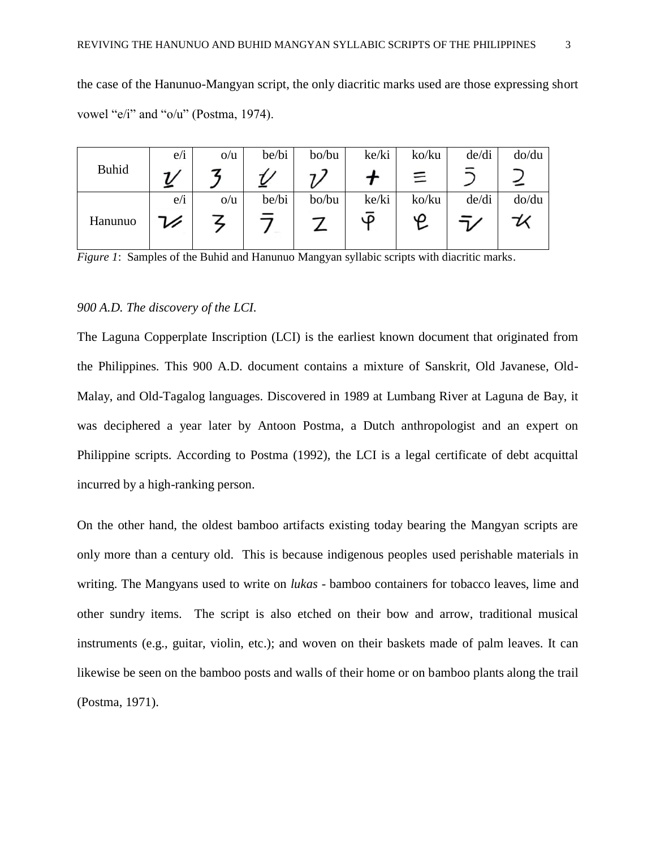the case of the Hanunuo-Mangyan script, the only diacritic marks used are those expressing short vowel "e/i" and "o/u" (Postma, 1974).

|              | e/1 | O/U | be/bi | bo/bu | ke/ki | ko/ku | de/di | do/du |
|--------------|-----|-----|-------|-------|-------|-------|-------|-------|
| <b>Buhid</b> |     |     |       |       |       | 三     |       |       |
|              | e/i | O/U | be/bi | bo/bu | ke/ki | ko/ku | de/di | do/du |
| Hanunuo      |     |     |       |       | LΩ    | ഗ     |       |       |

*Figure 1*: Samples of the Buhid and Hanunuo Mangyan syllabic scripts with diacritic marks.

#### *900 A.D. The discovery of the LCI.*

The Laguna Copperplate Inscription (LCI) is the earliest known document that originated from the Philippines. This 900 A.D. document contains a mixture of Sanskrit, Old Javanese, Old-Malay, and Old-Tagalog languages. Discovered in 1989 at Lumbang River at Laguna de Bay, it was deciphered a year later by Antoon Postma, a Dutch anthropologist and an expert on Philippine scripts. According to Postma (1992), the LCI is a legal certificate of debt acquittal incurred by a high-ranking person.

On the other hand, the oldest bamboo artifacts existing today bearing the Mangyan scripts are only more than a century old. This is because indigenous peoples used perishable materials in writing. The Mangyans used to write on *lukas* - bamboo containers for tobacco leaves, lime and other sundry items. The script is also etched on their bow and arrow, traditional musical instruments (e.g., guitar, violin, etc.); and woven on their baskets made of palm leaves. It can likewise be seen on the bamboo posts and walls of their home or on bamboo plants along the trail (Postma, 1971).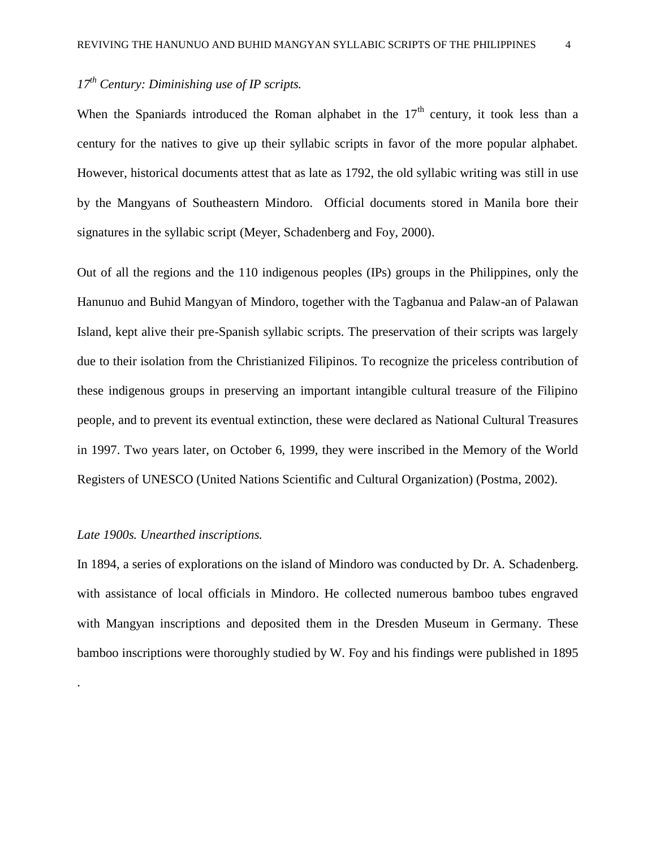# *17th Century: Diminishing use of IP scripts.*

When the Spaniards introduced the Roman alphabet in the  $17<sup>th</sup>$  century, it took less than a century for the natives to give up their syllabic scripts in favor of the more popular alphabet. However, historical documents attest that as late as 1792, the old syllabic writing was still in use by the Mangyans of Southeastern Mindoro. Official documents stored in Manila bore their signatures in the syllabic script (Meyer, Schadenberg and Foy, 2000).

Out of all the regions and the 110 indigenous peoples (IPs) groups in the Philippines, only the Hanunuo and Buhid Mangyan of Mindoro, together with the Tagbanua and Palaw-an of Palawan Island, kept alive their pre-Spanish syllabic scripts. The preservation of their scripts was largely due to their isolation from the Christianized Filipinos. To recognize the priceless contribution of these indigenous groups in preserving an important intangible cultural treasure of the Filipino people, and to prevent its eventual extinction, these were declared as National Cultural Treasures in 1997. Two years later, on October 6, 1999, they were inscribed in the Memory of the World Registers of UNESCO (United Nations Scientific and Cultural Organization) (Postma, 2002).

#### *Late 1900s. Unearthed inscriptions.*

.

In 1894, a series of explorations on the island of Mindoro was conducted by Dr. A. Schadenberg. with assistance of local officials in Mindoro. He collected numerous bamboo tubes engraved with Mangyan inscriptions and deposited them in the Dresden Museum in Germany. These bamboo inscriptions were thoroughly studied by W. Foy and his findings were published in 1895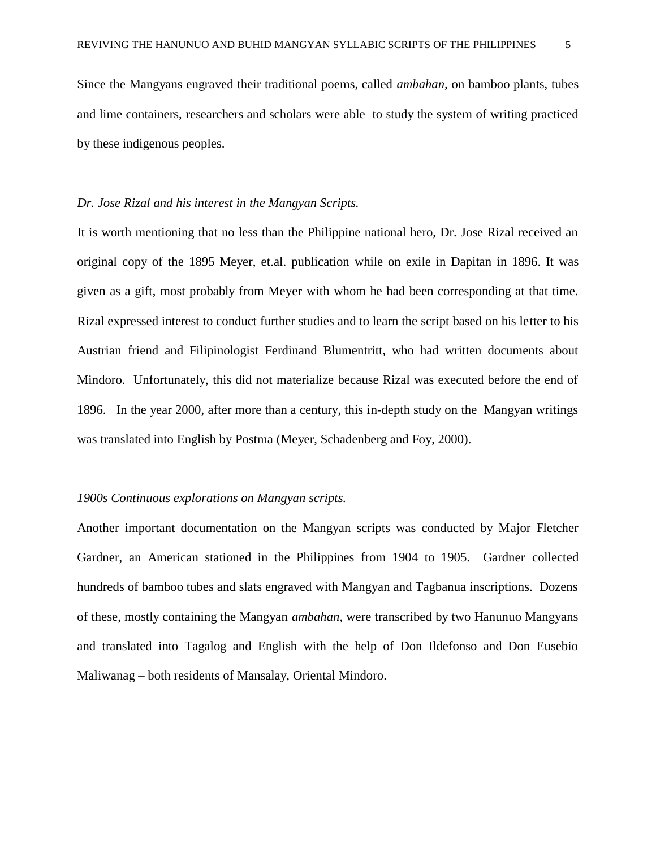Since the Mangyans engraved their traditional poems, called *ambahan,* on bamboo plants, tubes and lime containers, researchers and scholars were able to study the system of writing practiced by these indigenous peoples.

#### *Dr. Jose Rizal and his interest in the Mangyan Scripts.*

It is worth mentioning that no less than the Philippine national hero, Dr. Jose Rizal received an original copy of the 1895 Meyer, et.al. publication while on exile in Dapitan in 1896. It was given as a gift, most probably from Meyer with whom he had been corresponding at that time. Rizal expressed interest to conduct further studies and to learn the script based on his letter to his Austrian friend and Filipinologist Ferdinand Blumentritt, who had written documents about Mindoro. Unfortunately, this did not materialize because Rizal was executed before the end of 1896. In the year 2000, after more than a century, this in-depth study on the Mangyan writings was translated into English by Postma (Meyer, Schadenberg and Foy, 2000).

#### *1900s Continuous explorations on Mangyan scripts.*

Another important documentation on the Mangyan scripts was conducted by Major Fletcher Gardner, an American stationed in the Philippines from 1904 to 1905. Gardner collected hundreds of bamboo tubes and slats engraved with Mangyan and Tagbanua inscriptions. Dozens of these, mostly containing the Mangyan *ambahan*, were transcribed by two Hanunuo Mangyans and translated into Tagalog and English with the help of Don Ildefonso and Don Eusebio Maliwanag – both residents of Mansalay, Oriental Mindoro.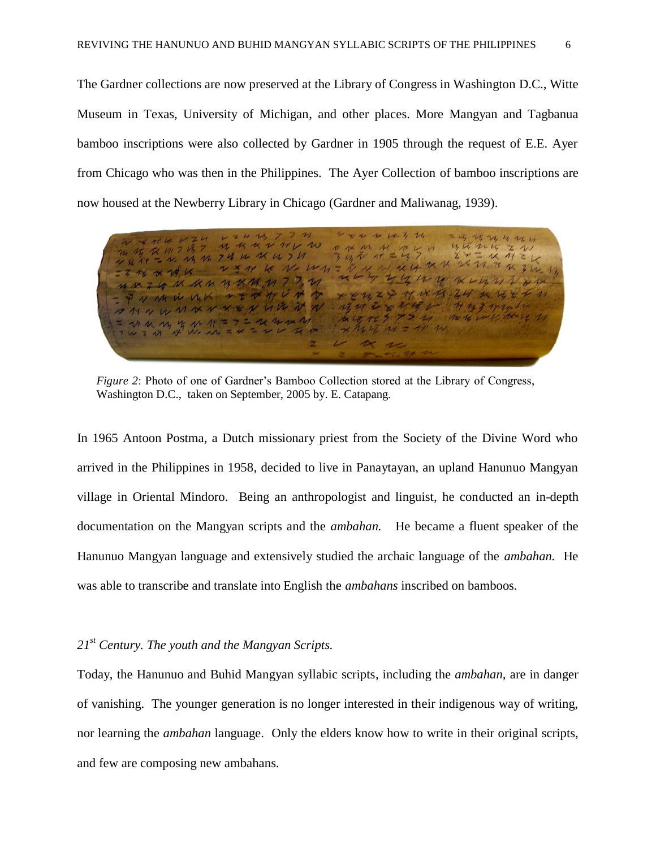The Gardner collections are now preserved at the Library of Congress in Washington D.C., Witte Museum in Texas, University of Michigan, and other places. More Mangyan and Tagbanua bamboo inscriptions were also collected by Gardner in 1905 through the request of E.E. Ayer from Chicago who was then in the Philippines. The Ayer Collection of bamboo inscriptions are now housed at the Newberry Library in Chicago (Gardner and Maliwanag, 1939).

レモルルルイライ 二片叶叶片21 ライバイニシタ 12 R K V 11 V W  $14, 14, 14, 14,$  $R$   $M$  7  $R$  7  $Z$   $N$ Z X II TO IX Z IV  $K$  M/M M 74 W K W 7 M  $3.4476$  19  $M = M M M$ <br> $N = M M K$ <br> $N = N M L$  $\sim$ ZUNKAMYKMM77.21  $12722$ NMW MK VENNVNV xxxx 2 7 18 18 24 20 19 4 4  $7 + 127$ MVWWXXXXVWWW  $27781$  $47$ カルハリケルサニアニスクかん  $\mathcal{F} \mathcal{F} \rightarrow \mathcal{F}$ The the verify

*Figure 2*: Photo of one of Gardner's Bamboo Collection stored at the Library of Congress, Washington D.C., taken on September, 2005 by. E. Catapang.

In 1965 Antoon Postma, a Dutch missionary priest from the Society of the Divine Word who arrived in the Philippines in 1958, decided to live in Panaytayan, an upland Hanunuo Mangyan village in Oriental Mindoro. Being an anthropologist and linguist, he conducted an in-depth documentation on the Mangyan scripts and the *ambahan.* He became a fluent speaker of the Hanunuo Mangyan language and extensively studied the archaic language of the *ambahan.* He was able to transcribe and translate into English the *ambahans* inscribed on bamboos.

# *21st Century. The youth and the Mangyan Scripts.*

Today, the Hanunuo and Buhid Mangyan syllabic scripts, including the *ambahan,* are in danger of vanishing. The younger generation is no longer interested in their indigenous way of writing, nor learning the *ambahan* language. Only the elders know how to write in their original scripts, and few are composing new ambahans.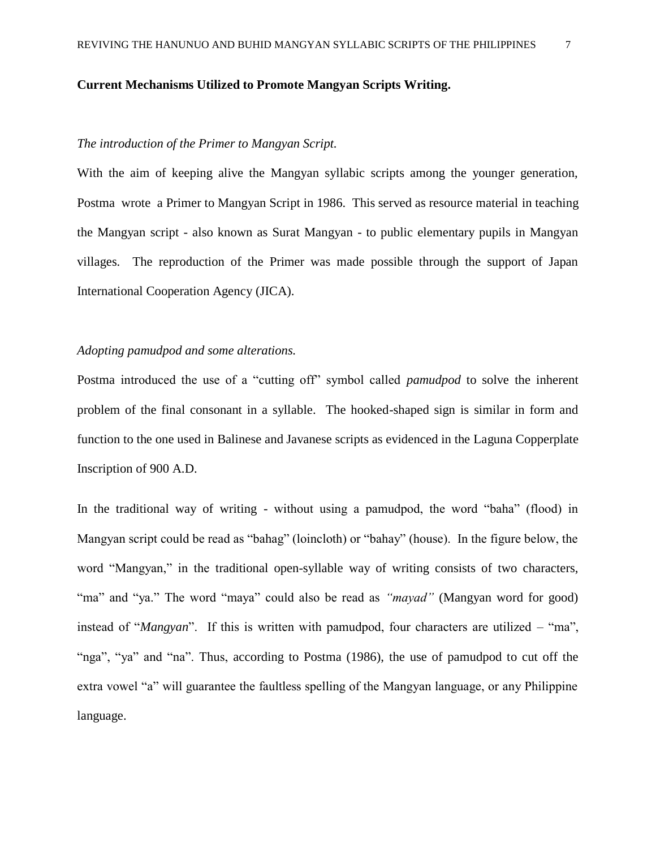#### **Current Mechanisms Utilized to Promote Mangyan Scripts Writing.**

#### *The introduction of the Primer to Mangyan Script.*

With the aim of keeping alive the Mangyan syllabic scripts among the younger generation, Postma wrote a Primer to Mangyan Script in 1986. This served as resource material in teaching the Mangyan script - also known as Surat Mangyan - to public elementary pupils in Mangyan villages. The reproduction of the Primer was made possible through the support of Japan International Cooperation Agency (JICA).

### *Adopting pamudpod and some alterations.*

Postma introduced the use of a "cutting off" symbol called *pamudpod* to solve the inherent problem of the final consonant in a syllable. The hooked-shaped sign is similar in form and function to the one used in Balinese and Javanese scripts as evidenced in the Laguna Copperplate Inscription of 900 A.D.

In the traditional way of writing - without using a pamudpod, the word "baha" (flood) in Mangyan script could be read as "bahag" (loincloth) or "bahay" (house). In the figure below, the word "Mangyan," in the traditional open-syllable way of writing consists of two characters, "ma" and "ya." The word "maya" could also be read as *"mayad"* (Mangyan word for good) instead of "*Mangyan*". If this is written with pamudpod, four characters are utilized – "ma", "nga", "ya" and "na". Thus, according to Postma (1986), the use of pamudpod to cut off the extra vowel "a" will guarantee the faultless spelling of the Mangyan language, or any Philippine language.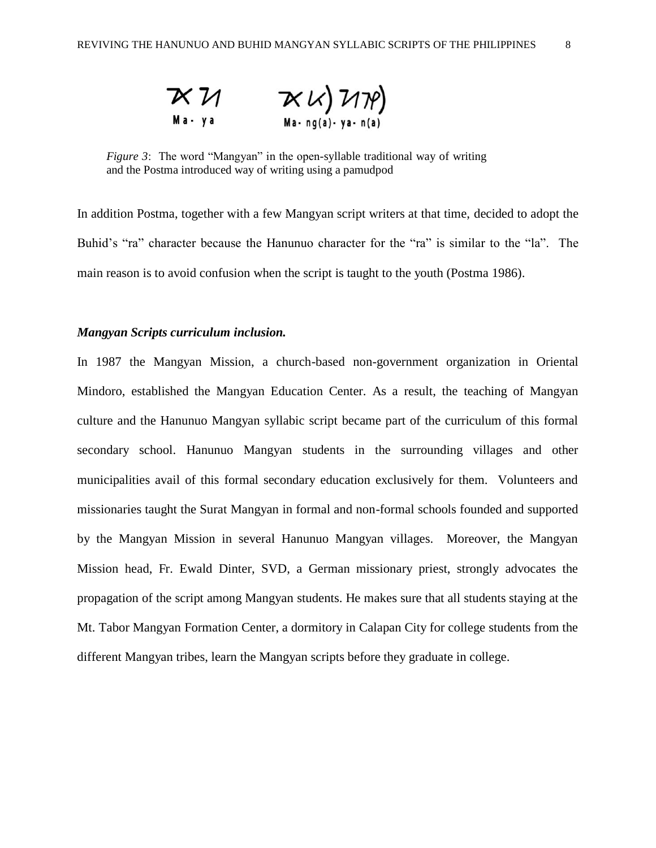

*Figure 3*: The word "Mangyan" in the open-syllable traditional way of writing and the Postma introduced way of writing using a pamudpod

In addition Postma, together with a few Mangyan script writers at that time, decided to adopt the Buhid's "ra" character because the Hanunuo character for the "ra" is similar to the "la". The main reason is to avoid confusion when the script is taught to the youth (Postma 1986).

### *Mangyan Scripts curriculum inclusion.*

In 1987 the Mangyan Mission, a church-based non-government organization in Oriental Mindoro, established the Mangyan Education Center. As a result, the teaching of Mangyan culture and the Hanunuo Mangyan syllabic script became part of the curriculum of this formal secondary school. Hanunuo Mangyan students in the surrounding villages and other municipalities avail of this formal secondary education exclusively for them. Volunteers and missionaries taught the Surat Mangyan in formal and non-formal schools founded and supported by the Mangyan Mission in several Hanunuo Mangyan villages. Moreover, the Mangyan Mission head, Fr. Ewald Dinter, SVD, a German missionary priest, strongly advocates the propagation of the script among Mangyan students. He makes sure that all students staying at the Mt. Tabor Mangyan Formation Center, a dormitory in Calapan City for college students from the different Mangyan tribes, learn the Mangyan scripts before they graduate in college.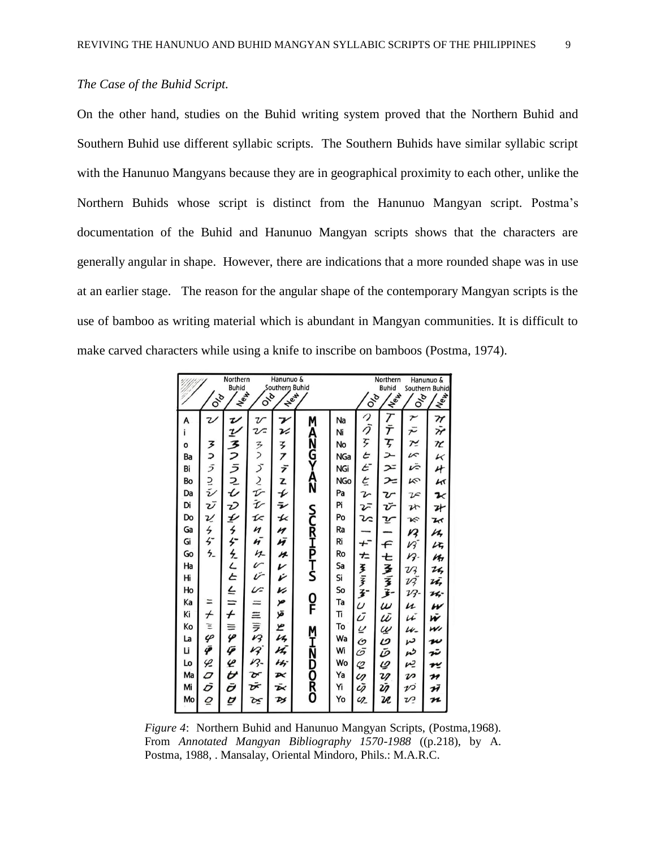## *The Case of the Buhid Script.*

On the other hand, studies on the Buhid writing system proved that the Northern Buhid and Southern Buhid use different syllabic scripts. The Southern Buhids have similar syllabic script with the Hanunuo Mangyans because they are in geographical proximity to each other, unlike the Northern Buhids whose script is distinct from the Hanunuo Mangyan script. Postma's documentation of the Buhid and Hanunuo Mangyan scripts shows that the characters are generally angular in shape. However, there are indications that a more rounded shape was in use at an earlier stage. The reason for the angular shape of the contemporary Mangyan scripts is the use of bamboo as writing material which is abundant in Mangyan communities. It is difficult to make carved characters while using a knife to inscribe on bamboos (Postma, 1974).

|          | Northern<br>Hanunuo &<br><b>Buhid</b><br>Southern Buhid<br>New-<br><b>Hey</b><br>Ole<br><b>Ove</b> |              |                            |                         | Northern<br>Hanunuo &<br><b>Buhid</b><br>Southern Buhid<br>$\sqrt{\frac{2}{3}}$<br>IN <sub>OW</sub><br>io <sub>la</sub><br>Ola |            |                  |                  |                       |                             |
|----------|----------------------------------------------------------------------------------------------------|--------------|----------------------------|-------------------------|--------------------------------------------------------------------------------------------------------------------------------|------------|------------------|------------------|-----------------------|-----------------------------|
| А        | Ζ                                                                                                  | V            | $\boldsymbol{\mathcal{U}}$ | ァ                       |                                                                                                                                | Na         |                  |                  | $\tilde{\phantom{a}}$ |                             |
|          |                                                                                                    | $\mathbf{z}$ | $\mathcal{U}$              | v                       | M                                                                                                                              | Ni         | つう               | ナテ               | デ                     | TY<br>TY                    |
| o        |                                                                                                    |              |                            |                         | <b>ANGYAZA</b>                                                                                                                 | No         | F                | F                | $\tilde{ }$           | r                           |
| Ba       |                                                                                                    |              | ろう                         | ろフ                      |                                                                                                                                | <b>NGa</b> | E                |                  | vs                    | $\kappa$                    |
| Bi       |                                                                                                    |              | Š                          | デ                       |                                                                                                                                | <b>NGi</b> | $\epsilon$       | ب<br>ح           | vē                    | $\star$                     |
| Bo       | ヌコラコシ                                                                                              | うつうこし ひぎち    | こひむ                        | Z                       |                                                                                                                                | <b>NGo</b> | ヒア               | $\geq$           | K                     | $\kappa$                    |
| Da       |                                                                                                    |              |                            | $\overline{\mathbf{r}}$ |                                                                                                                                | Pa         |                  | $\mathcal{U}$    | $\mathcal{V}$         | $\mathbf{z}$                |
| Di       | υĪ                                                                                                 |              |                            | $\bar{\mathbf{z}}$      |                                                                                                                                | Pi         | vī               | Ŭ                | Z                     | 升                           |
| Do       | υ                                                                                                  |              | I<                         | $\overline{\mathbf{x}}$ |                                                                                                                                | Po         | U                | Y                | K                     | $\mathbf{z}$                |
| Ga       |                                                                                                    |              | n                          | n                       |                                                                                                                                | Ra         |                  |                  | Ŋ                     | u                           |
| Gi       | ちぢち                                                                                                |              | ñ                          | ñ                       |                                                                                                                                | Ri         | $+$ <sup>-</sup> | $\leftarrow$     | Vĩ                    | LF,                         |
| Go       |                                                                                                    | ダネムヒヒー       | みっけ                        | n                       | <b>SCRIPTS</b>                                                                                                                 | Ro         | $\pm$            | Ł                | $\mathcal{W}$         | Kr                          |
| Ha       |                                                                                                    |              |                            | V                       |                                                                                                                                | Sa         | ミミュ              |                  | VZ                    | 24                          |
| Hi       |                                                                                                    |              |                            | v                       |                                                                                                                                | Si         |                  | みるこ              | vž                    | zī,                         |
| Ho       |                                                                                                    |              | V                          | v                       |                                                                                                                                | So         |                  |                  | 17-                   | $\boldsymbol{\kappa}$       |
| Ka       | Ξ                                                                                                  |              |                            | مز                      | 0<br>F                                                                                                                         | Ta         | U<br>Ū           | $\omega$         | и                     | w                           |
| Κi       | $\overline{t}$                                                                                     | $\dot{+}$    |                            | قۈ                      |                                                                                                                                | Tī         |                  | ıī               | vĭ                    | Ŵ                           |
| Ko       | Ξ<br>$\varphi$                                                                                     |              |                            | L<br>Uz                 |                                                                                                                                | To         | $\overline{a}$   | W<br>D<br>D<br>D | u-                    | w                           |
| La<br>Li | Ÿ                                                                                                  |              |                            |                         |                                                                                                                                | Wa         | O<br>G           |                  | ىم                    | n                           |
|          |                                                                                                    | P            | ニミラタタタ                     | nī,<br>hhj              | <b>MHZDDRO</b>                                                                                                                 | Wi<br>Wo   |                  |                  | n                     | ستة                         |
| Lo<br>Ma | $\varphi$<br>0                                                                                     | Ł<br>U       |                            | Þ<                      |                                                                                                                                | Ya         | $\varphi$        | $\varrho$        | r2                    | rĽ                          |
| Mi       | Ō                                                                                                  | Ō            | षे<br>फ्रं                 | Ā                       |                                                                                                                                | Yi         | LI<br>Ū          | ış<br>Ü          | $\boldsymbol{\nu}$    | $\overline{\boldsymbol{r}}$ |
| Mo       | $\overline{\mathcal{Q}}$                                                                           | U            |                            | ÞS                      |                                                                                                                                | Yo         | $\mathcal{Q}$    | U                | vi<br>vΡ              | ħ<br>n                      |
|          |                                                                                                    |              | Œ                          |                         |                                                                                                                                |            |                  |                  |                       |                             |

*Figure 4*: Northern Buhid and Hanunuo Mangyan Scripts, (Postma,1968). From *Annotated Mangyan Bibliography 1570-1988* ((p.218), by A. Postma, 1988, . Mansalay, Oriental Mindoro, Phils.: M.A.R.C.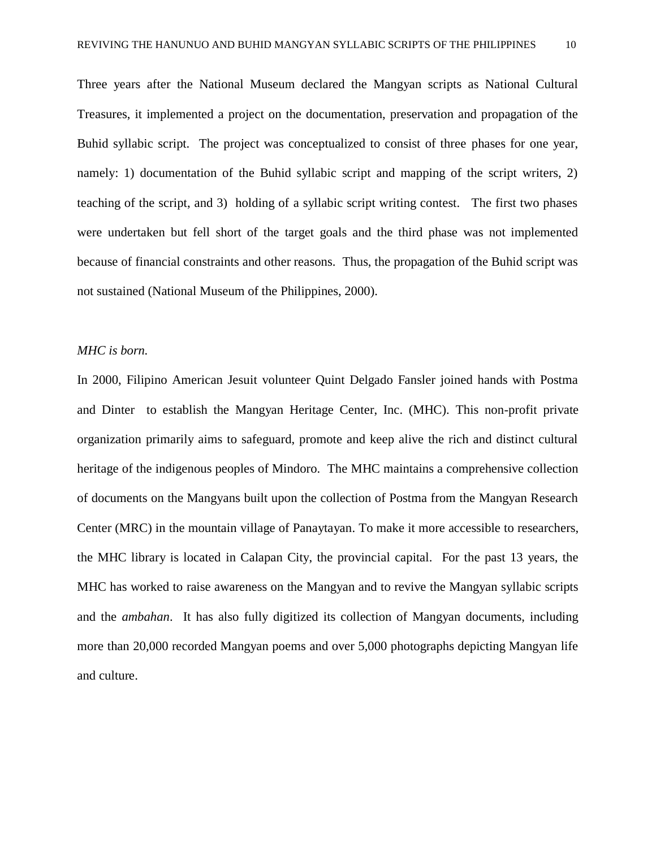Three years after the National Museum declared the Mangyan scripts as National Cultural Treasures, it implemented a project on the documentation, preservation and propagation of the Buhid syllabic script. The project was conceptualized to consist of three phases for one year, namely: 1) documentation of the Buhid syllabic script and mapping of the script writers, 2) teaching of the script, and 3) holding of a syllabic script writing contest. The first two phases were undertaken but fell short of the target goals and the third phase was not implemented because of financial constraints and other reasons. Thus, the propagation of the Buhid script was not sustained (National Museum of the Philippines, 2000).

#### *MHC is born.*

In 2000, Filipino American Jesuit volunteer Quint Delgado Fansler joined hands with Postma and Dinter to establish the Mangyan Heritage Center, Inc. (MHC). This non-profit private organization primarily aims to safeguard, promote and keep alive the rich and distinct cultural heritage of the indigenous peoples of Mindoro. The MHC maintains a comprehensive collection of documents on the Mangyans built upon the collection of Postma from the Mangyan Research Center (MRC) in the mountain village of Panaytayan. To make it more accessible to researchers, the MHC library is located in Calapan City, the provincial capital. For the past 13 years, the MHC has worked to raise awareness on the Mangyan and to revive the Mangyan syllabic scripts and the *ambahan*. It has also fully digitized its collection of Mangyan documents, including more than 20,000 recorded Mangyan poems and over 5,000 photographs depicting Mangyan life and culture.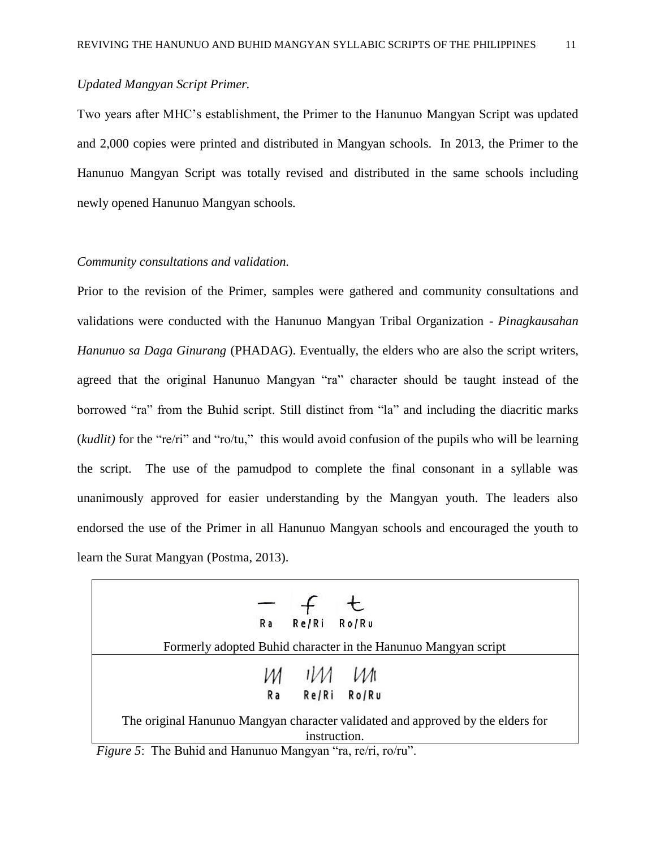# *Updated Mangyan Script Primer.*

Two years after MHC's establishment, the Primer to the Hanunuo Mangyan Script was updated and 2,000 copies were printed and distributed in Mangyan schools. In 2013, the Primer to the Hanunuo Mangyan Script was totally revised and distributed in the same schools including newly opened Hanunuo Mangyan schools.

#### *Community consultations and validation.*

Prior to the revision of the Primer, samples were gathered and community consultations and validations were conducted with the Hanunuo Mangyan Tribal Organization - *Pinagkausahan Hanunuo sa Daga Ginurang* (PHADAG). Eventually, the elders who are also the script writers, agreed that the original Hanunuo Mangyan "ra" character should be taught instead of the borrowed "ra" from the Buhid script. Still distinct from "la" and including the diacritic marks (*kudlit)* for the "re/ri" and "ro/tu," this would avoid confusion of the pupils who will be learning the script. The use of the pamudpod to complete the final consonant in a syllable was unanimously approved for easier understanding by the Mangyan youth. The leaders also endorsed the use of the Primer in all Hanunuo Mangyan schools and encouraged the youth to learn the Surat Mangyan (Postma, 2013).

| $ f$ t         |                                                                                 |
|----------------|---------------------------------------------------------------------------------|
| Ra Re/Ri Ro/Ru |                                                                                 |
|                | Formerly adopted Buhid character in the Hanunuo Mangyan script                  |
| $M$ $1/M$ $M$  |                                                                                 |
| Ra Re/Ri Ro/Ru |                                                                                 |
| instruction.   | The original Hanunuo Mangyan character validated and approved by the elders for |

*Figure 5*: The Buhid and Hanunuo Mangyan "ra, re/ri, ro/ru".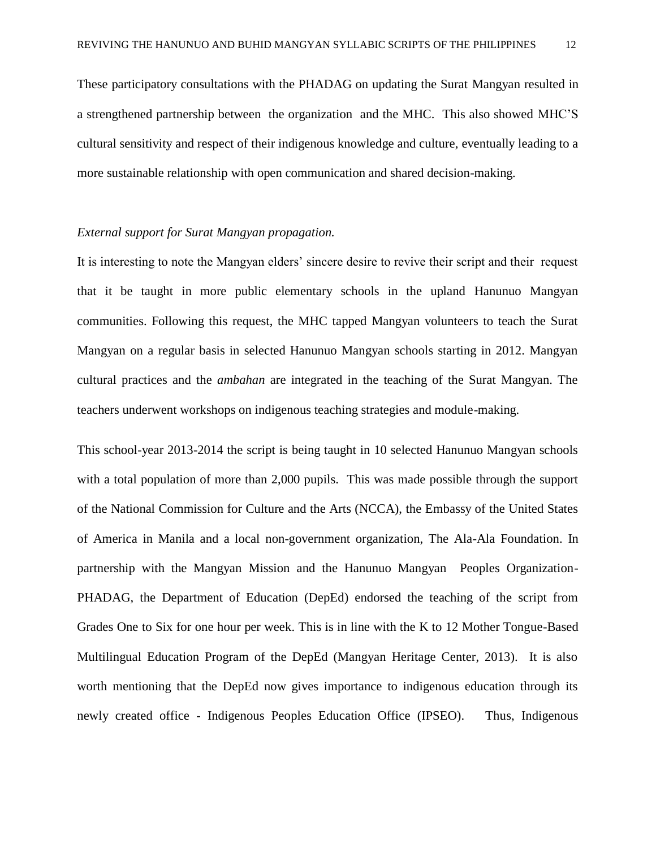These participatory consultations with the PHADAG on updating the Surat Mangyan resulted in a strengthened partnership between the organization and the MHC. This also showed MHC'S cultural sensitivity and respect of their indigenous knowledge and culture, eventually leading to a more sustainable relationship with open communication and shared decision-making.

#### *External support for Surat Mangyan propagation.*

It is interesting to note the Mangyan elders' sincere desire to revive their script and their request that it be taught in more public elementary schools in the upland Hanunuo Mangyan communities. Following this request, the MHC tapped Mangyan volunteers to teach the Surat Mangyan on a regular basis in selected Hanunuo Mangyan schools starting in 2012. Mangyan cultural practices and the *ambahan* are integrated in the teaching of the Surat Mangyan. The teachers underwent workshops on indigenous teaching strategies and module-making.

This school-year 2013-2014 the script is being taught in 10 selected Hanunuo Mangyan schools with a total population of more than 2,000 pupils. This was made possible through the support of the National Commission for Culture and the Arts (NCCA), the Embassy of the United States of America in Manila and a local non-government organization, The Ala-Ala Foundation. In partnership with the Mangyan Mission and the Hanunuo Mangyan Peoples Organization-PHADAG, the Department of Education (DepEd) endorsed the teaching of the script from Grades One to Six for one hour per week. This is in line with the K to 12 Mother Tongue-Based Multilingual Education Program of the DepEd (Mangyan Heritage Center, 2013). It is also worth mentioning that the DepEd now gives importance to indigenous education through its newly created office - Indigenous Peoples Education Office (IPSEO). Thus, Indigenous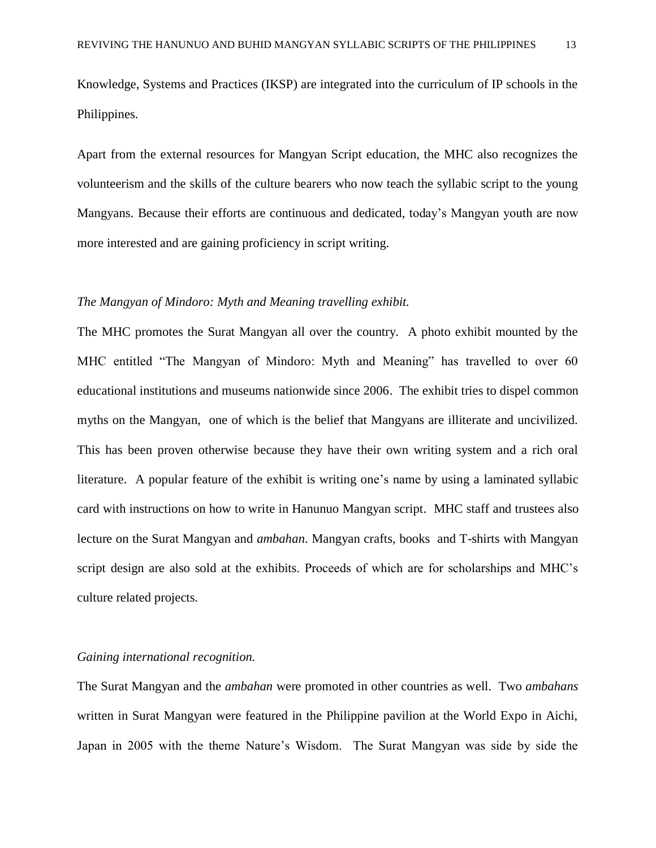Knowledge, Systems and Practices (IKSP) are integrated into the curriculum of IP schools in the Philippines.

Apart from the external resources for Mangyan Script education, the MHC also recognizes the volunteerism and the skills of the culture bearers who now teach the syllabic script to the young Mangyans. Because their efforts are continuous and dedicated, today's Mangyan youth are now more interested and are gaining proficiency in script writing.

#### *The Mangyan of Mindoro: Myth and Meaning travelling exhibit.*

The MHC promotes the Surat Mangyan all over the country. A photo exhibit mounted by the MHC entitled "The Mangyan of Mindoro: Myth and Meaning" has travelled to over 60 educational institutions and museums nationwide since 2006. The exhibit tries to dispel common myths on the Mangyan, one of which is the belief that Mangyans are illiterate and uncivilized. This has been proven otherwise because they have their own writing system and a rich oral literature. A popular feature of the exhibit is writing one's name by using a laminated syllabic card with instructions on how to write in Hanunuo Mangyan script. MHC staff and trustees also lecture on the Surat Mangyan and *ambahan*. Mangyan crafts, books and T-shirts with Mangyan script design are also sold at the exhibits. Proceeds of which are for scholarships and MHC's culture related projects.

#### *Gaining international recognition.*

The Surat Mangyan and the *ambahan* were promoted in other countries as well. Two *ambahans* written in Surat Mangyan were featured in the Philippine pavilion at the World Expo in Aichi, Japan in 2005 with the theme Nature's Wisdom. The Surat Mangyan was side by side the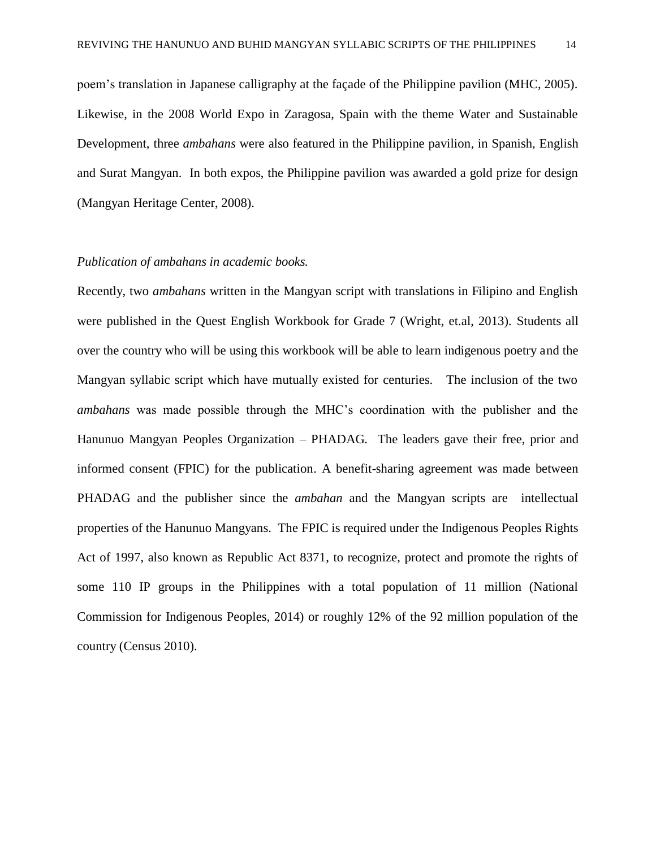poem's translation in Japanese calligraphy at the façade of the Philippine pavilion (MHC, 2005). Likewise, in the 2008 World Expo in Zaragosa, Spain with the theme Water and Sustainable Development, three *ambahans* were also featured in the Philippine pavilion, in Spanish, English and Surat Mangyan. In both expos, the Philippine pavilion was awarded a gold prize for design (Mangyan Heritage Center, 2008).

# *Publication of ambahans in academic books.*

Recently, two *ambahans* written in the Mangyan script with translations in Filipino and English were published in the Quest English Workbook for Grade 7 (Wright, et.al, 2013). Students all over the country who will be using this workbook will be able to learn indigenous poetry and the Mangyan syllabic script which have mutually existed for centuries. The inclusion of the two *ambahans* was made possible through the MHC's coordination with the publisher and the Hanunuo Mangyan Peoples Organization – PHADAG. The leaders gave their free, prior and informed consent (FPIC) for the publication. A benefit-sharing agreement was made between PHADAG and the publisher since the *ambahan* and the Mangyan scripts are intellectual properties of the Hanunuo Mangyans. The FPIC is required under the Indigenous Peoples Rights Act of 1997, also known as Republic Act 8371, to recognize, protect and promote the rights of some 110 IP groups in the Philippines with a total population of 11 million (National Commission for Indigenous Peoples, 2014) or roughly 12% of the 92 million population of the country (Census 2010).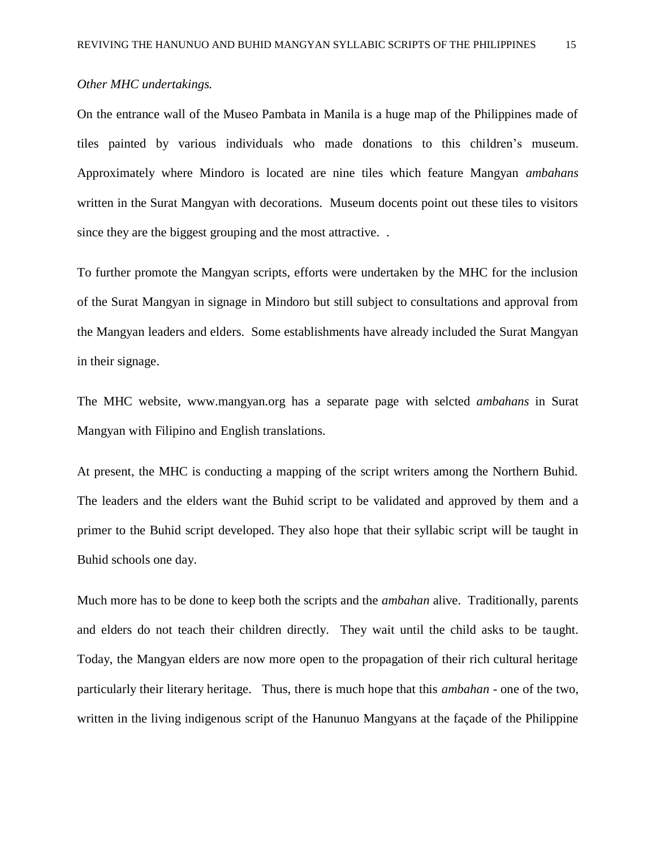# *Other MHC undertakings.*

On the entrance wall of the Museo Pambata in Manila is a huge map of the Philippines made of tiles painted by various individuals who made donations to this children's museum. Approximately where Mindoro is located are nine tiles which feature Mangyan *ambahans* written in the Surat Mangyan with decorations. Museum docents point out these tiles to visitors since they are the biggest grouping and the most attractive. .

To further promote the Mangyan scripts, efforts were undertaken by the MHC for the inclusion of the Surat Mangyan in signage in Mindoro but still subject to consultations and approval from the Mangyan leaders and elders. Some establishments have already included the Surat Mangyan in their signage.

The MHC website, www.mangyan.org has a separate page with selcted *ambahans* in Surat Mangyan with Filipino and English translations.

At present, the MHC is conducting a mapping of the script writers among the Northern Buhid. The leaders and the elders want the Buhid script to be validated and approved by them and a primer to the Buhid script developed. They also hope that their syllabic script will be taught in Buhid schools one day.

Much more has to be done to keep both the scripts and the *ambahan* alive. Traditionally, parents and elders do not teach their children directly. They wait until the child asks to be taught. Today, the Mangyan elders are now more open to the propagation of their rich cultural heritage particularly their literary heritage. Thus, there is much hope that this *ambahan* - one of the two, written in the living indigenous script of the Hanunuo Mangyans at the façade of the Philippine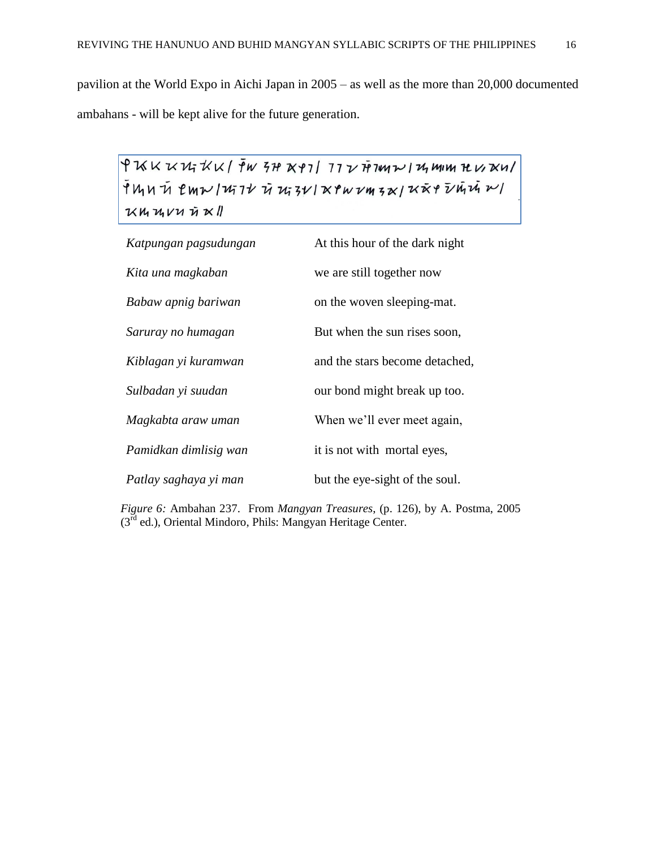pavilion at the World Expo in Aichi Japan in 2005 – as well as the more than 20,000 documented ambahans - will be kept alive for the future generation.

 $9$   $\cal K$   $\cal K$   $\cal W$   $\cal K$   $\cal K$  /  $\bar f$   $\cal W$   $\cal 5$   $\cal H$   $\cal K$   $\cal V$   $\cal 7$   $\cal 7$   $\cal I$   $\cal V$   $\cal V$   $\cal W$   $\cal W$   $\cal W$   $\cal W$   $\cal W$   $\cal W$   $\cal W$   $\cal W$   $\cal W$   $\cal W$   $\cal W$   $\cal W$   $\cal W$   $\cal W$   $\cal W$   $\cal W$   $\cal W$   $\cal W$   $\cal W$   $\$ 

| Katpungan pagsudungan | At this hour of the dark night |
|-----------------------|--------------------------------|
| Kita una magkaban     | we are still together now      |
| Babaw apnig bariwan   | on the woven sleeping-mat.     |
| Saruray no humagan    | But when the sun rises soon,   |
| Kiblagan yi kuramwan  | and the stars become detached, |
| Sulbadan yi suudan    | our bond might break up too.   |
| Magkabta araw uman    | When we'll ever meet again,    |
| Pamidkan dimlisig wan | it is not with mortal eyes,    |
| Patlay saghaya yi man | but the eye-sight of the soul. |

*Figure 6:* Ambahan 237. From *Mangyan Treasures*, (p. 126), by A. Postma, 2005  $(3<sup>rd</sup>$  ed.), Oriental Mindoro, Phils: Mangyan Heritage Center.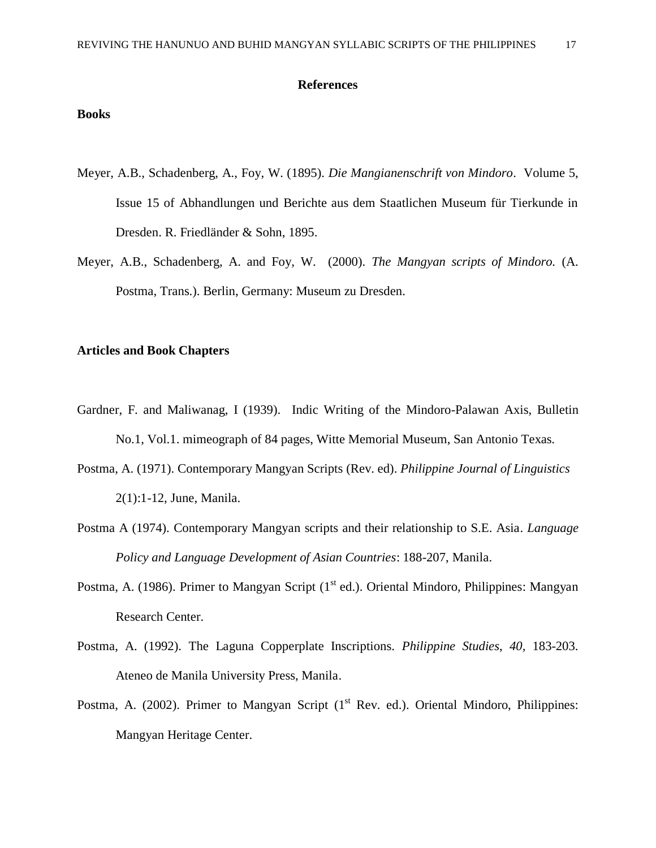#### **References**

### **Books**

- Meyer, A.B., Schadenberg, A., Foy, W. (1895). *Die Mangianenschrift von Mindoro*. Volume 5, Issue 15 of Abhandlungen und Berichte aus dem Staatlichen Museum für Tierkunde in Dresden. R. Friedländer & Sohn, 1895.
- Meyer, A.B., Schadenberg, A. and Foy, W. (2000). *The Mangyan scripts of Mindoro.* (A. Postma, Trans.). Berlin, Germany: Museum zu Dresden.

#### **Articles and Book Chapters**

- Gardner, F. and Maliwanag, I (1939). Indic Writing of the Mindoro-Palawan Axis, Bulletin No.1, Vol.1. mimeograph of 84 pages, Witte Memorial Museum, San Antonio Texas.
- Postma, A. (1971). Contemporary Mangyan Scripts (Rev. ed). *Philippine Journal of Linguistics* 2(1):1-12, June, Manila.
- Postma A (1974). Contemporary Mangyan scripts and their relationship to S.E. Asia. *Language Policy and Language Development of Asian Countries*: 188-207, Manila.
- Postma, A. (1986). Primer to Mangyan Script (1<sup>st</sup> ed.). Oriental Mindoro, Philippines: Mangyan Research Center.
- Postma, A. (1992). The Laguna Copperplate Inscriptions. *Philippine Studies*, *40,* 183-203. Ateneo de Manila University Press, Manila.
- Postma, A. (2002). Primer to Mangyan Script (1<sup>st</sup> Rev. ed.). Oriental Mindoro, Philippines: Mangyan Heritage Center.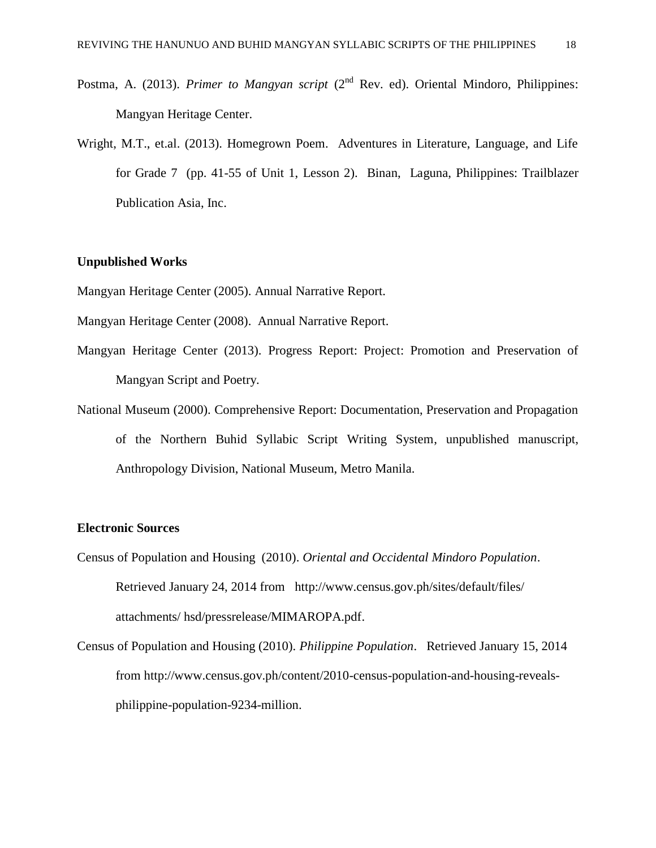- Postma, A. (2013). *Primer to Mangyan script* (2<sup>nd</sup> Rev. ed). Oriental Mindoro, Philippines: Mangyan Heritage Center.
- Wright, M.T., et.al. (2013). Homegrown Poem. Adventures in Literature, Language, and Life for Grade 7 (pp. 41-55 of Unit 1, Lesson 2). Binan, Laguna, Philippines: Trailblazer Publication Asia, Inc.

#### **Unpublished Works**

Mangyan Heritage Center (2005). Annual Narrative Report.

- Mangyan Heritage Center (2008). Annual Narrative Report.
- Mangyan Heritage Center (2013). Progress Report: Project: Promotion and Preservation of Mangyan Script and Poetry.
- National Museum (2000). Comprehensive Report: Documentation, Preservation and Propagation of the Northern Buhid Syllabic Script Writing System, unpublished manuscript, Anthropology Division, National Museum, Metro Manila.

#### **Electronic Sources**

- Census of Population and Housing (2010). *Oriental and Occidental Mindoro Population*. Retrieved January 24, 2014 from <http://www.census.gov.ph/sites/default/files/> attachments/ hsd/pressrelease/MIMAROPA.pdf.
- Census of Population and Housing (2010). *Philippine Population*. Retrieved January 15, 2014 from http://www.census.gov.ph/content/2010-census-population-and-housing-revealsphilippine-population-9234-million.